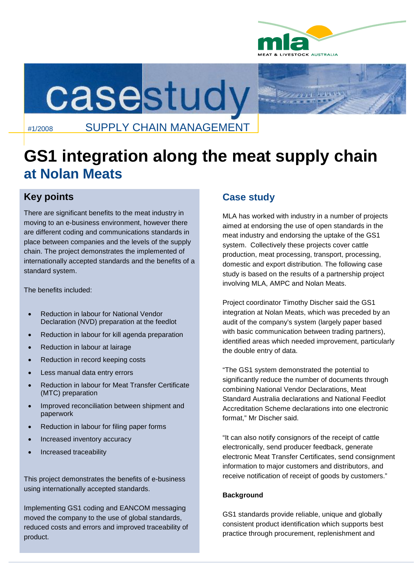



## #1/2008 SUPPLY CHAIN MANAGEMENT

# **GS1 integration along the meat supply chain at Nolan Meats**

## **Key points**

There are significant benefits to the meat industry in moving to an e-business environment, however there are different coding and communications standards in place between companies and the levels of the supply chain. The project demonstrates the implemented of internationally accepted standards and the benefits of a standard system.

The benefits included:

- Reduction in labour for National Vendor Declaration (NVD) preparation at the feedlot
- Reduction in labour for kill agenda preparation
- Reduction in labour at lairage
- Reduction in record keeping costs
- Less manual data entry errors
- Reduction in labour for Meat Transfer Certificate (MTC) preparation
- Improved reconciliation between shipment and paperwork
- Reduction in labour for filing paper forms
- Increased inventory accuracy
- Increased traceability

This project demonstrates the benefits of e-business using internationally accepted standards.

Implementing GS1 coding and EANCOM messaging moved the company to the use of global standards, reduced costs and errors and improved traceability of product.

### **Case study**

MLA has worked with industry in a number of projects aimed at endorsing the use of open standards in the meat industry and endorsing the uptake of the GS1 system. Collectively these projects cover cattle production, meat processing, transport, processing, domestic and export distribution. The following case study is based on the results of a partnership project involving MLA, AMPC and Nolan Meats.

Project coordinator Timothy Discher said the GS1 integration at Nolan Meats, which was preceded by an audit of the company's system (largely paper based with basic communication between trading partners), identified areas which needed improvement, particularly the double entry of data.

"The GS1 system demonstrated the potential to significantly reduce the number of documents through combining National Vendor Declarations, Meat Standard Australia declarations and National Feedlot Accreditation Scheme declarations into one electronic format," Mr Discher said.

"It can also notify consignors of the receipt of cattle electronically, send producer feedback, generate electronic Meat Transfer Certificates, send consignment information to major customers and distributors, and receive notification of receipt of goods by customers."

#### **Background**

GS1 standards provide reliable, unique and globally consistent product identification which supports best practice through procurement, replenishment and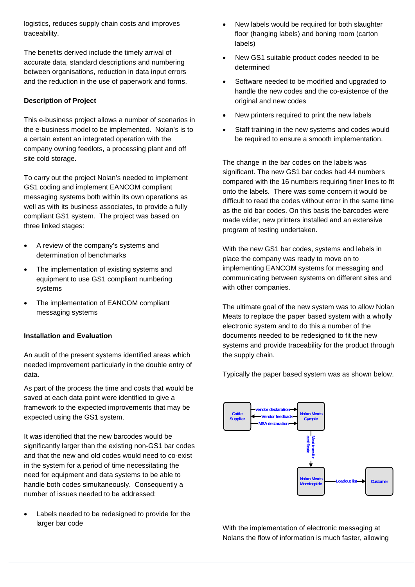logistics, reduces supply chain costs and improves traceability.

The benefits derived include the timely arrival of accurate data, standard descriptions and numbering between organisations, reduction in data input errors and the reduction in the use of paperwork and forms.

#### **Description of Project**

This e-business project allows a number of scenarios in the e-business model to be implemented. Nolan's is to a certain extent an integrated operation with the company owning feedlots, a processing plant and off site cold storage.

To carry out the project Nolan's needed to implement GS1 coding and implement EANCOM compliant messaging systems both within its own operations as well as with its business associates, to provide a fully compliant GS1 system. The project was based on three linked stages:

- A review of the company's systems and determination of benchmarks
- The implementation of existing systems and equipment to use GS1 compliant numbering systems
- The implementation of EANCOM compliant messaging systems

#### **Installation and Evaluation**

An audit of the present systems identified areas which needed improvement particularly in the double entry of data.

As part of the process the time and costs that would be saved at each data point were identified to give a framework to the expected improvements that may be expected using the GS1 system.

It was identified that the new barcodes would be significantly larger than the existing non-GS1 bar codes and that the new and old codes would need to co-exist in the system for a period of time necessitating the need for equipment and data systems to be able to handle both codes simultaneously. Consequently a number of issues needed to be addressed:

 Labels needed to be redesigned to provide for the larger bar code

- New labels would be required for both slaughter floor (hanging labels) and boning room (carton labels)
- New GS1 suitable product codes needed to be determined
- Software needed to be modified and upgraded to handle the new codes and the co-existence of the original and new codes
- New printers required to print the new labels
- Staff training in the new systems and codes would be required to ensure a smooth implementation.

The change in the bar codes on the labels was significant. The new GS1 bar codes had 44 numbers compared with the 16 numbers requiring finer lines to fit onto the labels. There was some concern it would be difficult to read the codes without error in the same time as the old bar codes. On this basis the barcodes were made wider, new printers installed and an extensive program of testing undertaken.

With the new GS1 bar codes, systems and labels in place the company was ready to move on to implementing EANCOM systems for messaging and communicating between systems on different sites and with other companies.

The ultimate goal of the new system was to allow Nolan Meats to replace the paper based system with a wholly electronic system and to do this a number of the documents needed to be redesigned to fit the new systems and provide traceability for the product through the supply chain.

Typically the paper based system was as shown below.



With the implementation of electronic messaging at Nolans the flow of information is much faster, allowing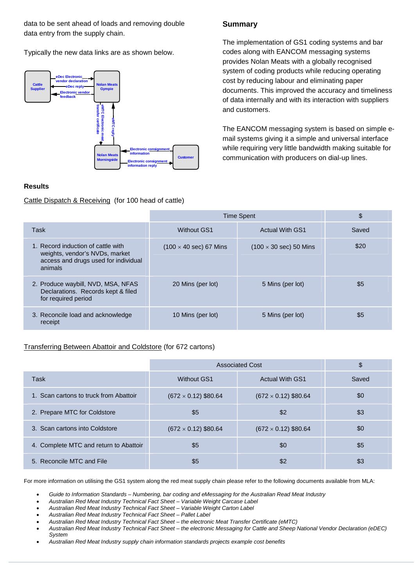data to be sent ahead of loads and removing double data entry from the supply chain.

Typically the new data links are as shown below.



#### **Results**

Cattle Dispatch & Receiving (for 100 head of cattle)

#### **Summary**

The implementation of GS1 coding systems and bar codes along with EANCOM messaging systems provides Nolan Meats with a globally recognised system of coding products while reducing operating cost by reducing labour and eliminating paper documents. This improved the accuracy and timeliness of data internally and with its interaction with suppliers and customers.

The EANCOM messaging system is based on simple email systems giving it a simple and universal interface while requiring very little bandwidth making suitable for communication with producers on dial-up lines.

|                                                                                                                         | <b>Time Spent</b>                     |                                       | \$    |
|-------------------------------------------------------------------------------------------------------------------------|---------------------------------------|---------------------------------------|-------|
| Task                                                                                                                    | <b>Without GS1</b>                    | <b>Actual With GS1</b>                | Saved |
| 1. Record induction of cattle with<br>weights, vendor's NVDs, market<br>access and drugs used for individual<br>animals | $(100 \times 40 \text{ sec})$ 67 Mins | $(100 \times 30 \text{ sec})$ 50 Mins | \$20  |
| 2. Produce waybill, NVD, MSA, NFAS<br>Declarations. Records kept & filed<br>for required period                         | 20 Mins (per lot)                     | 5 Mins (per lot)                      | \$5   |
| 3. Reconcile load and acknowledge<br>receipt                                                                            | 10 Mins (per lot)                     | 5 Mins (per lot)                      | \$5   |

#### Transferring Between Abattoir and Coldstore (for 672 cartons)

|                                        | <b>Associated Cost</b>      |                             | \$    |
|----------------------------------------|-----------------------------|-----------------------------|-------|
| Task                                   | <b>Without GS1</b>          | <b>Actual With GS1</b>      | Saved |
| 1. Scan cartons to truck from Abattoir | $(672 \times 0.12)$ \$80.64 | $(672 \times 0.12)$ \$80.64 | \$0   |
| 2. Prepare MTC for Coldstore           | \$5                         | \$2                         | \$3   |
| 3. Scan cartons into Coldstore         | $(672 \times 0.12)$ \$80.64 | $(672 \times 0.12)$ \$80.64 | \$0   |
| 4. Complete MTC and return to Abattoir | \$5                         | \$0                         | \$5   |
| 5. Reconcile MTC and File              | \$5                         | \$2                         | \$3   |

For more information on utilising the GS1 system along the red meat supply chain please refer to the following documents available from MLA:

*Guide to Information Standards – Numbering, bar coding and eMessaging for the Australian Read Meat Industry*

*Australian Red Meat Industry Technical Fact Sheet – Variable Weight Carcase Label*

*Australian Red Meat Industry Technical Fact Sheet – Variable Weight Carton Label*

*Australian Red Meat Industry Technical Fact Sheet – Pallet Label*

- *Australian Red Meat Industry Technical Fact Sheet the electronic Meat Transfer Certificate (eMTC)*
- *Australian Red Meat Industry Technical Fact Sheet the electronic Messaging for Cattle and Sheep National Vendor Declaration (eDEC) System*
- *Australian Red Meat Industry supply chain information standards projects example cost benefits*